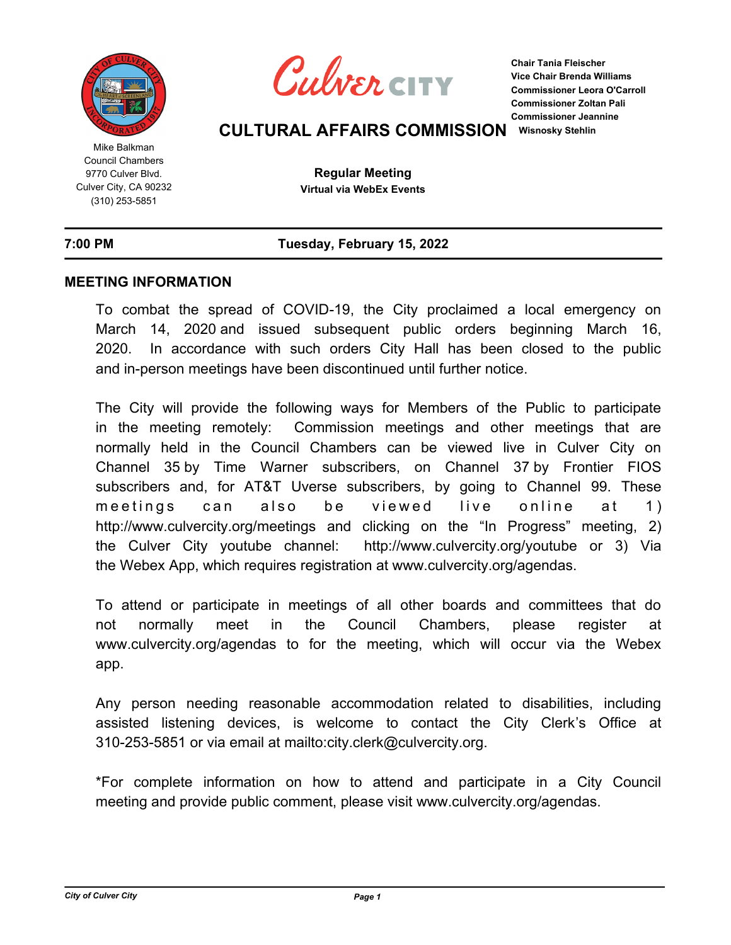

Mike Balkman Council Chambers 9770 Culver Blvd. Culver City, CA 90232 (310) 253-5851



**Chair Tania Fleischer Vice Chair Brenda Williams Commissioner Leora O'Carroll Commissioner Zoltan Pali Commissioner Jeannine** 

# **CULTURAL AFFAIRS COMMISSION Wisnosky Stehlin**

**Regular Meeting Virtual via WebEx Events**

# **7:00 PM Tuesday, February 15, 2022**

## **MEETING INFORMATION**

To combat the spread of COVID-19, the City proclaimed a local emergency on March 14, 2020 and issued subsequent public orders beginning March 16, 2020. In accordance with such orders City Hall has been closed to the public and in-person meetings have been discontinued until further notice.

The City will provide the following ways for Members of the Public to participate in the meeting remotely: Commission meetings and other meetings that are normally held in the Council Chambers can be viewed live in Culver City on Channel 35 by Time Warner subscribers, on Channel 37 by Frontier FIOS subscribers and, for AT&T Uverse subscribers, by going to Channel 99. These meetings can also be viewed live online at 1) http://www.culvercity.org/meetings and clicking on the "In Progress" meeting, 2) the Culver City youtube channel: http://www.culvercity.org/youtube or 3) Via the Webex App, which requires registration at www.culvercity.org/agendas.

To attend or participate in meetings of all other boards and committees that do not normally meet in the Council Chambers, please register at www.culvercity.org/agendas to for the meeting, which will occur via the Webex app.

Any person needing reasonable accommodation related to disabilities, including assisted listening devices, is welcome to contact the City Clerk's Office at 310-253-5851 or via email at mailto:city.clerk@culvercity.org.

\*For complete information on how to attend and participate in a City Council meeting and provide public comment, please visit www.culvercity.org/agendas.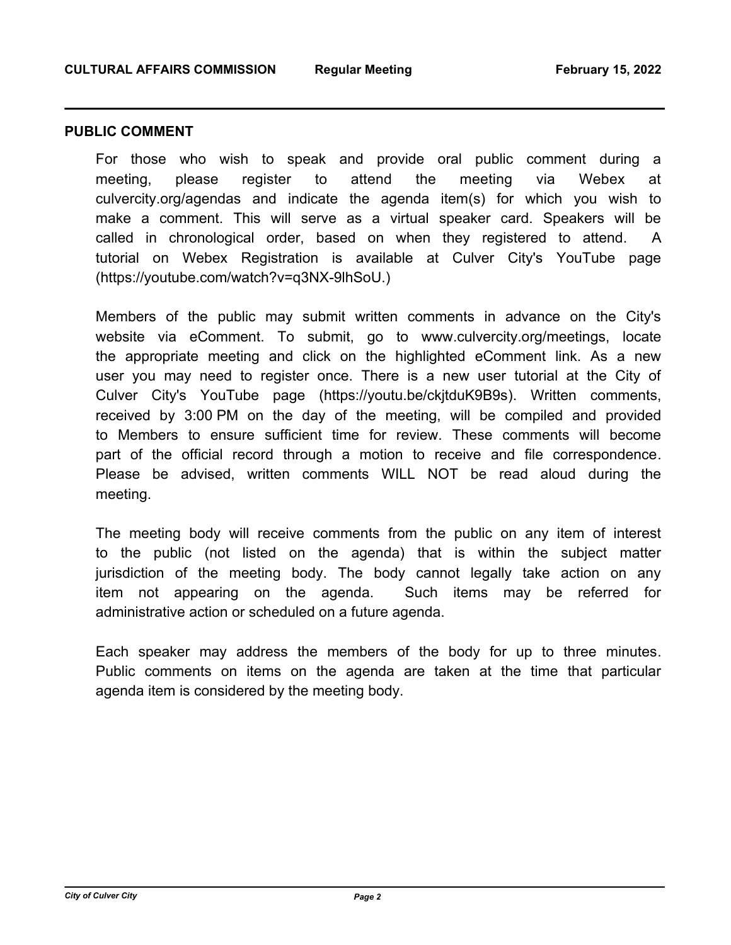#### **PUBLIC COMMENT**

For those who wish to speak and provide oral public comment during a meeting, please register to attend the meeting via Webex at culvercity.org/agendas and indicate the agenda item(s) for which you wish to make a comment. This will serve as a virtual speaker card. Speakers will be called in chronological order, based on when they registered to attend. A tutorial on Webex Registration is available at Culver City's YouTube page (https://youtube.com/watch?v=q3NX-9lhSoU.)

Members of the public may submit written comments in advance on the City's website via eComment. To submit, go to www.culvercity.org/meetings, locate the appropriate meeting and click on the highlighted eComment link. As a new user you may need to register once. There is a new user tutorial at the City of Culver City's YouTube page (https://youtu.be/ckjtduK9B9s). Written comments, received by 3:00 PM on the day of the meeting, will be compiled and provided to Members to ensure sufficient time for review. These comments will become part of the official record through a motion to receive and file correspondence. Please be advised, written comments WILL NOT be read aloud during the meeting.

The meeting body will receive comments from the public on any item of interest to the public (not listed on the agenda) that is within the subject matter jurisdiction of the meeting body. The body cannot legally take action on any item not appearing on the agenda. Such items may be referred for administrative action or scheduled on a future agenda.

Each speaker may address the members of the body for up to three minutes. Public comments on items on the agenda are taken at the time that particular agenda item is considered by the meeting body.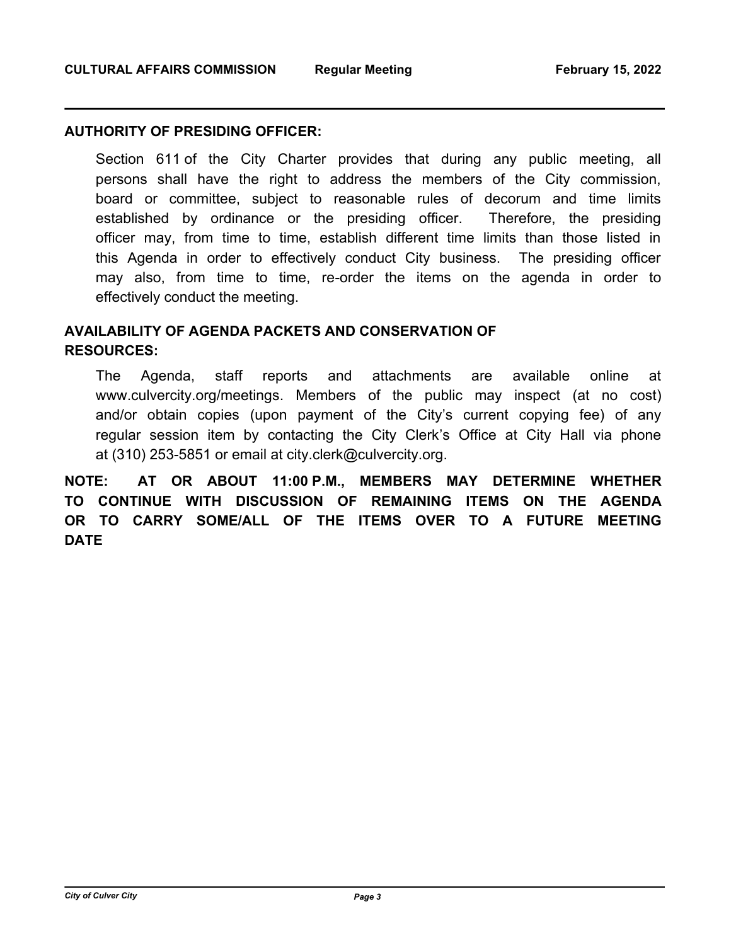## **AUTHORITY OF PRESIDING OFFICER:**

Section 611 of the City Charter provides that during any public meeting, all persons shall have the right to address the members of the City commission, board or committee, subject to reasonable rules of decorum and time limits established by ordinance or the presiding officer. Therefore, the presiding officer may, from time to time, establish different time limits than those listed in this Agenda in order to effectively conduct City business. The presiding officer may also, from time to time, re-order the items on the agenda in order to effectively conduct the meeting.

# **AVAILABILITY OF AGENDA PACKETS AND CONSERVATION OF RESOURCES:**

The Agenda, staff reports and attachments are available online at www.culvercity.org/meetings. Members of the public may inspect (at no cost) and/or obtain copies (upon payment of the City's current copying fee) of any regular session item by contacting the City Clerk's Office at City Hall via phone at (310) 253-5851 or email at city.clerk@culvercity.org.

**NOTE: AT OR ABOUT 11:00 P.M., MEMBERS MAY DETERMINE WHETHER TO CONTINUE WITH DISCUSSION OF REMAINING ITEMS ON THE AGENDA OR TO CARRY SOME/ALL OF THE ITEMS OVER TO A FUTURE MEETING DATE**